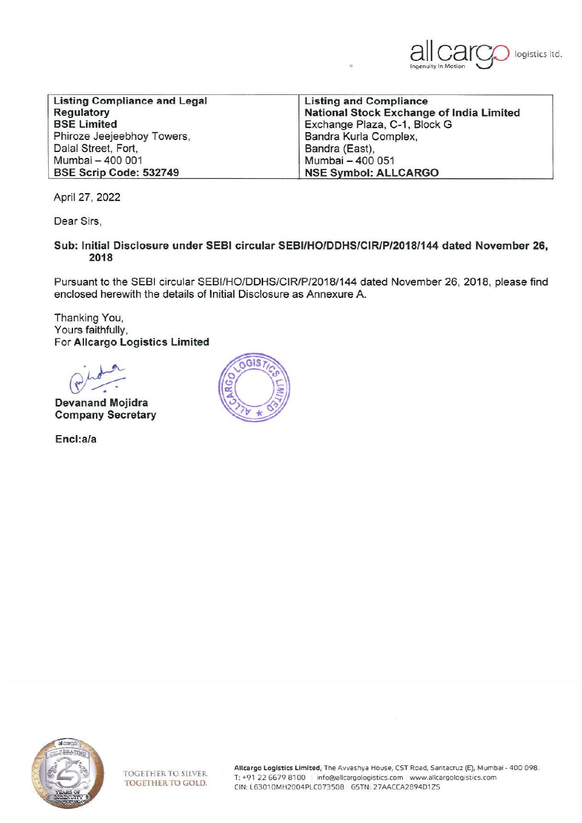

| <b>Listing Compliance and Legal</b>                    | <b>Listing and Compliance</b> |  |
|--------------------------------------------------------|-------------------------------|--|
| National Stock Exchange of India Limited<br>Regulatory |                               |  |
| <b>BSE Limited</b>                                     | Exchange Plaza, C-1, Block G  |  |
| Phiroze Jeejeebhoy Towers,                             | Bandra Kurla Complex,         |  |
| Dalal Street, Fort,                                    | Bandra (East),                |  |
| Mumbai - 400 001                                       | Mumbai - 400 051              |  |
| BSE Scrip Code: 532749                                 | <b>NSE Symbol: ALLCARGO</b>   |  |

April 27, 2022

Dear Sirs,

**Sub: Initial Disclosure under SEBI circular SEBI/HO/DDHS/CIR/P/2018/144 dated November 26, 2018** 

Pursuant to the SEBI circular SEBI/HO/DDHS/CIR/P/2018/144 dated November 26, 2018, please find enclosed herewith the details of Initial Disclosure as Annexure A.

Thanking You, Yours faithfully, For **Allcargo Logistics Limited** 

**Devanand Mojidra Company Secretary** 

**Encl:a/a** 





Allcargo Logistics Limited, The Avvashya House, CST Road, Santacruz (E}. Mumbai - 400 098. T: +91 22 6679 8100 info@allcargologistics.com www.allcargologistics.com CIN: L63010MH2004PLC073S08 GSTN: 2 7AACCA289401ZS